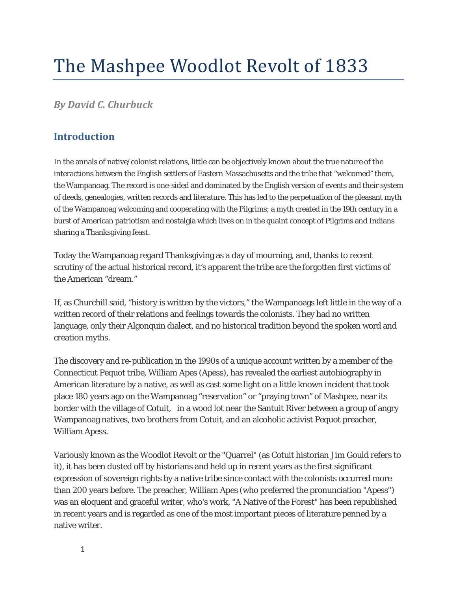# The Mashpee Woodlot Revolt of 1833

*By David C. Churbuck*

## **Introduction**

In the annals of native/colonist relations, little can be objectively known about the true nature of the interactions between the English settlers of Eastern Massachusetts and the tribe that "welcomed" them, the Wampanoag. The record is one-sided and dominated by the English version of events and their system of deeds, genealogies, written records and literature. This has led to the perpetuation of the pleasant myth of the Wampanoag welcoming and cooperating with the Pilgrims; a myth created in the 19th century in a burst of American patriotism and nostalgia which lives on in the quaint concept of Pilgrims and Indians sharing a Thanksgiving feast.

Today the Wampanoag regard Thanksgiving as a day of mourning, and, thanks to recent scrutiny of the actual historical record, it's apparent the tribe are the forgotten first victims of the American "dream."

If, as Churchill said, "history is written by the victors," the Wampanoags left little in the way of a written record of their relations and feelings towards the colonists. They had no written language, only their Algonquin dialect, and no historical tradition beyond the spoken word and creation myths.

The discovery and re-publication in the 1990s of a unique account written by a member of the Connecticut Pequot tribe, William Apes (Apess), has revealed the earliest autobiography in American literature by a native, as well as cast some light on a little known incident that took place 180 years ago on the Wampanoag "reservation" or "praying town" of Mashpee, near its border with the village of Cotuit, in a wood lot near the Santuit River between a group of angry Wampanoag natives, two brothers from Cotuit, and an alcoholic activist Pequot preacher, William Apess.

Variously known as the Woodlot Revolt or the "Quarrel" (as Cotuit historian Jim Gould refers to it), it has been dusted off by historians and held up in recent years as the first significant expression of sovereign rights by a native tribe since contact with the colonists occurred more than 200 years before. The preacher, William Apes (who preferred the pronunciation "Apess") was an eloquent and graceful writer, who's work, "A Native of the Forest" has been republished in recent years and is regarded as one of the most important pieces of literature penned by a native writer.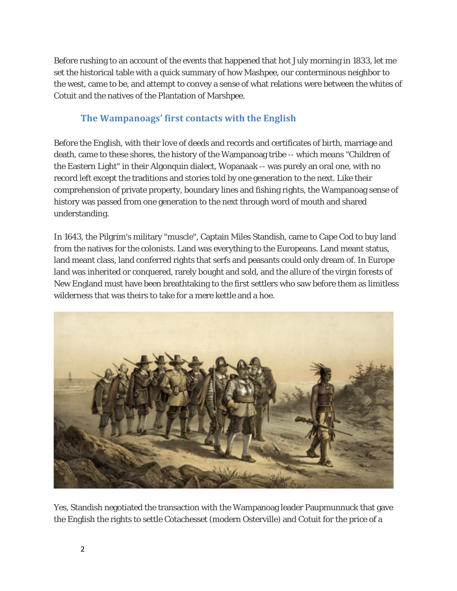Before rushing to an account of the events that happened that hot July morning in 1833, let me set the historical table with a quick summary of how Mashpee, our conterminous neighbor to the west, came to be, and attempt to convey a sense of what relations were between the whites of Cotuit and the natives of the Plantation of Marshpee.

## **The Wampanoags' first contacts with the English**

Before the English, with their love of deeds and records and certificates of birth, marriage and death, came to these shores, the history of the Wampanoag tribe -- which means "Children of the Eastern Light" in their Algonquin dialect, Wopanaak -- was purely an oral one, with no record left except the traditions and stories told by one generation to the next. Like their comprehension of private property, boundary lines and fishing rights, the Wampanoag sense of history was passed from one generation to the next through word of mouth and shared understanding.

In 1643, the Pilgrim's military "muscle", Captain Miles Standish, came to Cape Cod to buy land from the natives for the colonists. Land was everything to the Europeans. Land meant status, land meant class, land conferred rights that serfs and peasants could only dream of. In Europe land was inherited or conquered, rarely bought and sold, and the allure of the virgin forests of New England must have been breathtaking to the first settlers who saw before them as limitless wilderness that was theirs to take for a mere kettle and a hoe.



Yes, Standish negotiated the transaction with the Wampanoag leader Paupmunnuck that gave the English the rights to settle Cotachesset (modern Osterville) and Cotuit for the price of a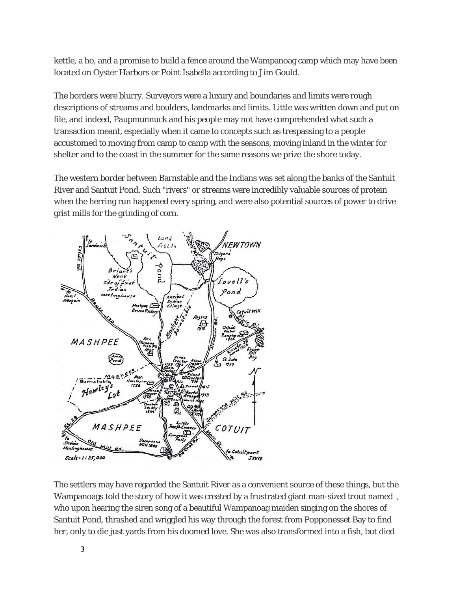kettle, a ho, and a promise to build a fence around the Wampanoag camp which may have been located on Oyster Harbors or Point Isabella according to Jim Gould.

The borders were blurry. Surveyors were a luxury and boundaries and limits were rough descriptions of streams and boulders, landmarks and limits. Little was written down and put on file, and indeed, Paupmunnuck and his people may not have comprehended what such a transaction meant, especially when it came to concepts such as trespassing to a people accustomed to moving from camp to camp with the seasons, moving inland in the winter for shelter and to the coast in the summer for the same reasons we prize the shore today.

The western border between Barnstable and the Indians was set along the banks of the Santuit River and Santuit Pond. Such "rivers" or streams were incredibly valuable sources of protein when the herring run happened every spring, and were also potential sources of power to drive grist mills for the grinding of corn.



The settlers may have regarded the Santuit River as a convenient source of these things, but the Wampanoags told the story of how it was created by a frustrated giant man-sized trout named , who upon hearing the siren song of a beautiful Wampanoag maiden singing on the shores of Santuit Pond, thrashed and wriggled his way through the forest from Popponesset Bay to find her, only to die just yards from his doomed love. She was also transformed into a fish, but died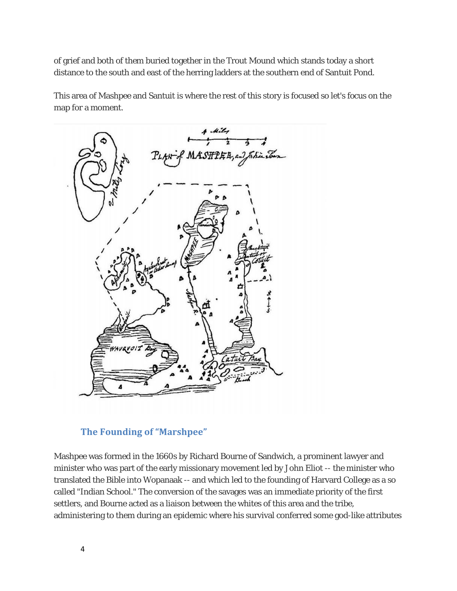of grief and both of them buried together in the Trout Mound which stands today a short distance to the south and east of the herring ladders at the southern end of Santuit Pond.

This area of Mashpee and Santuit is where the rest of this story is focused so let's focus on the map for a moment.



## **The Founding of "Marshpee"**

Mashpee was formed in the 1660s by Richard Bourne of Sandwich, a prominent lawyer and minister who was part of the early missionary movement led by John Eliot -- the minister who translated the Bible into Wopanaak -- and which led to the founding of Harvard College as a so called "Indian School." The conversion of the savages was an immediate priority of the first settlers, and Bourne acted as a liaison between the whites of this area and the tribe, administering to them during an epidemic where his survival conferred some god-like attributes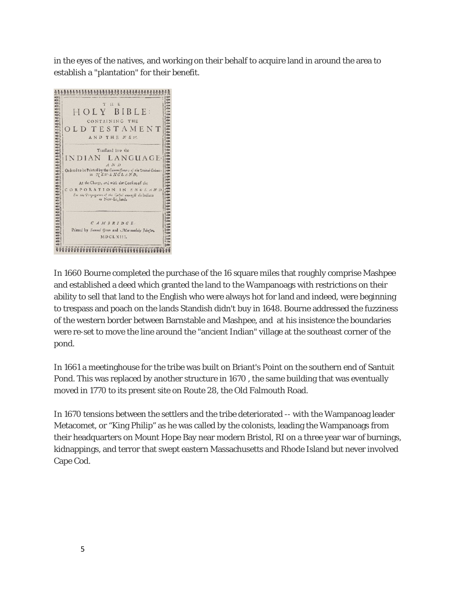in the eyes of the natives, and working on their behalf to acquire land in around the area to



In 1660 Bourne completed the purchase of the 16 square miles that roughly comprise Mashpee and established a deed which granted the land to the Wampanoags with restrictions on their ability to sell that land to the English who were always hot for land and indeed, were beginning to trespass and poach on the lands Standish didn't buy in 1648. Bourne addressed the fuzziness of the western border between Barnstable and Mashpee, and at his insistence the boundaries were re-set to move the line around the "ancient Indian" village at the southeast corner of the pond.

In 1661 a meetinghouse for the tribe was built on Briant's Point on the southern end of Santuit Pond. This was replaced by another structure in 1670 , the same building that was eventually moved in 1770 to its present site on Route 28, the Old Falmouth Road.

In 1670 tensions between the settlers and the tribe deteriorated -- with the Wampanoag leader Metacomet, or "King Philip" as he was called by the colonists, leading the Wampanoags from their headquarters on Mount Hope Bay near modern Bristol, RI on a three year war of burnings, kidnappings, and terror that swept eastern Massachusetts and Rhode Island but never involved Cape Cod.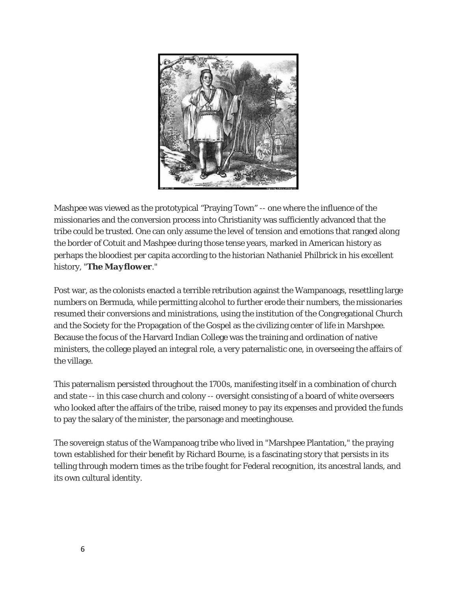

Mashpee was viewed as the prototypical "Praying Town" -- one where the influence of the missionaries and the conversion process into Christianity was sufficiently advanced that the tribe could be trusted. One can only assume the level of tension and emotions that ranged along the border of Cotuit and Mashpee during those tense years, marked in American history as perhaps the bloodiest per capita according to the historian Nathaniel Philbrick in his excellent history, "*The Mayflower*."

Post war, as the colonists enacted a terrible retribution against the Wampanoags, resettling large numbers on Bermuda, while permitting alcohol to further erode their numbers, the missionaries resumed their conversions and ministrations, using the institution of the Congregational Church and the Society for the Propagation of the Gospel as the civilizing center of life in Marshpee. Because the focus of the Harvard Indian College was the training and ordination of native ministers, the college played an integral role, a very paternalistic one, in overseeing the affairs of the village.

This paternalism persisted throughout the 1700s, manifesting itself in a combination of church and state -- in this case church and colony -- oversight consisting of a board of white overseers who looked after the affairs of the tribe, raised money to pay its expenses and provided the funds to pay the salary of the minister, the parsonage and meetinghouse.

The sovereign status of the Wampanoag tribe who lived in "Marshpee Plantation," the praying town established for their benefit by Richard Bourne, is a fascinating story that persists in its telling through modern times as the tribe fought for Federal recognition, its ancestral lands, and its own cultural identity.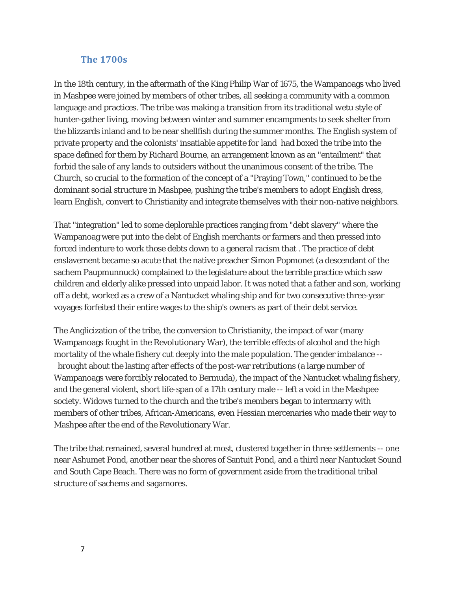#### **The 1700s**

In the 18th century, in the aftermath of the King Philip War of 1675, the Wampanoags who lived in Mashpee were joined by members of other tribes, all seeking a community with a common language and practices. The tribe was making a transition from its traditional *wetu* style of hunter-gather living, moving between winter and summer encampments to seek shelter from the blizzards inland and to be near shellfish during the summer months. The English system of private property and the colonists' insatiable appetite for land had boxed the tribe into the space defined for them by Richard Bourne, an arrangement known as an "entailment" that forbid the sale of any lands to outsiders without the unanimous consent of the tribe. The Church, so crucial to the formation of the concept of a "Praying Town," continued to be the dominant social structure in Mashpee, pushing the tribe's members to adopt English dress, learn English, convert to Christianity and integrate themselves with their non-native neighbors.

That "integration" led to some deplorable practices ranging from "debt slavery" where the Wampanoag were put into the debt of English merchants or farmers and then pressed into forced indenture to work those debts down to a general racism that . The practice of debt enslavement became so acute that the native preacher Simon Popmonet (a descendant of the sachem Paupmunnuck) complained to the legislature about the terrible practice which saw children and elderly alike pressed into unpaid labor. It was noted that a father and son, working off a debt, worked as a crew of a Nantucket whaling ship and for two consecutive three-year voyages forfeited their entire wages to the ship's owners as part of their debt service.

The Anglicization of the tribe, the conversion to Christianity, the impact of war (many Wampanoags fought in the Revolutionary War), the terrible effects of alcohol and the high mortality of the whale fishery cut deeply into the male population. The gender imbalance - brought about the lasting after effects of the post-war retributions (a large number of Wampanoags were forcibly relocated to Bermuda), the impact of the Nantucket whaling fishery, and the general violent, short life-span of a 17th century male -- left a void in the Mashpee society. Widows turned to the church and the tribe's members began to intermarry with members of other tribes, African-Americans, even Hessian mercenaries who made their way to Mashpee after the end of the Revolutionary War.

The tribe that remained, several hundred at most, clustered together in three settlements -- one near Ashumet Pond, another near the shores of Santuit Pond, and a third near Nantucket Sound and South Cape Beach. There was no form of government aside from the traditional tribal structure of sachems and sagamores.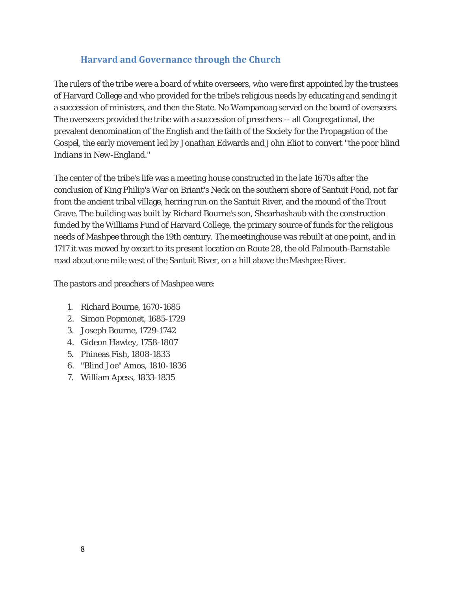## **Harvard and Governance through the Church**

The rulers of the tribe were a board of white overseers, who were first appointed by the trustees of Harvard College and who provided for the tribe's religious needs by educating and sending it a succession of ministers, and then the State. No Wampanoag served on the board of overseers. The overseers provided the tribe with a succession of preachers -- all Congregational, the prevalent denomination of the English and the faith of the Society for the Propagation of the Gospel, the early movement led by Jonathan Edwards and John Eliot to convert *"the poor blind Indians in New-England."*

The center of the tribe's life was a meeting house constructed in the late 1670s after the conclusion of King Philip's War on Briant's Neck on the southern shore of Santuit Pond, not far from the ancient tribal village, herring run on the Santuit River, and the mound of the Trout Grave. The building was built by Richard Bourne's son, Shearhashaub with the construction funded by the Williams Fund of Harvard College, the primary source of funds for the religious needs of Mashpee through the 19th century. The meetinghouse was rebuilt at one point, and in 1717 it was moved by oxcart to its present location on Route 28, the old Falmouth-Barnstable road about one mile west of the Santuit River, on a hill above the Mashpee River.

The pastors and preachers of Mashpee were:

- 1. Richard Bourne, 1670-1685
- 2. Simon Popmonet, 1685-1729
- 3. Joseph Bourne, 1729-1742
- 4. Gideon Hawley, 1758-1807
- 5. Phineas Fish, 1808-1833
- 6. "Blind Joe" Amos, 1810-1836
- 7. William Apess, 1833-1835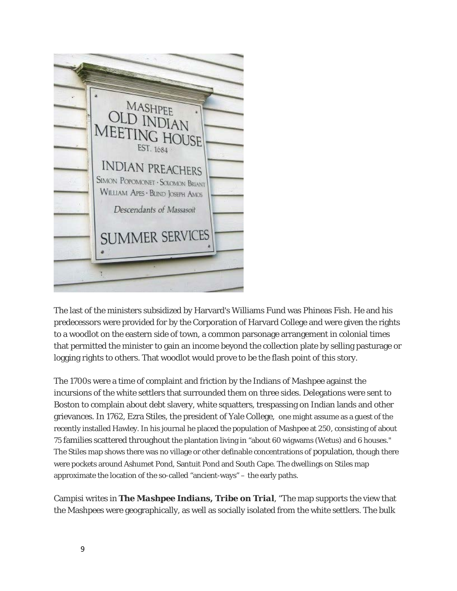

The last of the ministers subsidized by Harvard's Williams Fund was Phineas Fish. He and his predecessors were provided for by the Corporation of Harvard College and were given the rights to a woodlot on the eastern side of town, a common parsonage arrangement in colonial times that permitted the minister to gain an income beyond the collection plate by selling pasturage or logging rights to others. That woodlot would prove to be the flash point of this story.

The 1700s were a time of complaint and friction by the Indians of Mashpee against the incursions of the white settlers that surrounded them on three sides. Delegations were sent to Boston to complain about debt slavery, white squatters, trespassing on Indian lands and other grievances. In 1762, Ezra Stiles, the president of Yale College, one might assume as a guest of the recently installed Hawley. In his journal he placed the population of Mashpee at 250, consisting of about 75 families scattered throughout the plantation living in "about 60 wigwams (Wetus) and 6 houses." The Stiles map shows there was no village or other definable concentrations of population, though there were pockets around Ashumet Pond, Santuit Pond and South Cape. The dwellings on Stiles map approximate the location of the so-called "ancient-ways" – the early paths.

Campisi writes in *The Mashpee Indians, Tribe on Trial*, "The map supports the view that the Mashpees were geographically, as well as socially isolated from the white settlers. The bulk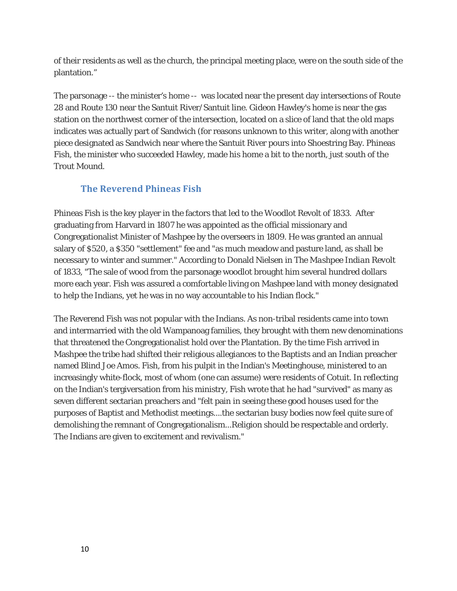of their residents as well as the church, the principal meeting place, were on the south side of the plantation."

The parsonage -- the minister's home -- was located near the present day intersections of Route 28 and Route 130 near the Santuit River/Santuit line. Gideon Hawley's home is near the gas station on the northwest corner of the intersection, located on a slice of land that the old maps indicates was actually part of Sandwich (for reasons unknown to this writer, along with another piece designated as Sandwich near where the Santuit River pours into Shoestring Bay. Phineas Fish, the minister who succeeded Hawley, made his home a bit to the north, just south of the Trout Mound.

## **The Reverend Phineas Fish**

Phineas Fish is the key player in the factors that led to the Woodlot Revolt of 1833. After graduating from Harvard in 1807 he was appointed as the official missionary and Congregationalist Minister of Mashpee by the overseers in 1809. He was granted an annual salary of \$520, a \$350 "settlement" fee and "as much meadow and pasture land, as shall be necessary to winter and summer." According to Donald Nielsen in *The Mashpee Indian Revolt of 1833, "*The sale of wood from the parsonage woodlot brought him several hundred dollars more each year. Fish was assured a comfortable living on Mashpee land with money designated to help the Indians, yet he was in no way accountable to his Indian flock."

The Reverend Fish was not popular with the Indians. As non-tribal residents came into town and intermarried with the old Wampanoag families, they brought with them new denominations that threatened the Congregationalist hold over the Plantation. By the time Fish arrived in Mashpee the tribe had shifted their religious allegiances to the Baptists and an Indian preacher named Blind Joe Amos. Fish, from his pulpit in the Indian's Meetinghouse, ministered to an increasingly white-flock, most of whom (one can assume) were residents of Cotuit. In reflecting on the Indian's tergiversation from his ministry, Fish wrote that he had "survived" as many as seven different sectarian preachers and "felt pain in seeing these good houses used for the purposes of Baptist and Methodist meetings....the sectarian busy bodies now feel quite sure of demolishing the remnant of Congregationalism...Religion should be respectable and orderly. The Indians are given to excitement and revivalism."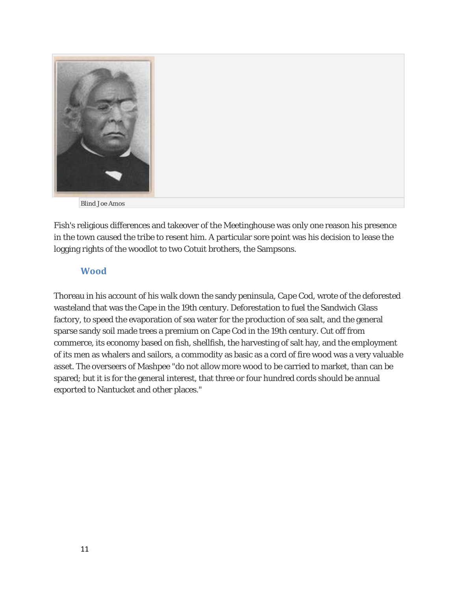

Fish's religious differences and takeover of the Meetinghouse was only one reason his presence in the town caused the tribe to resent him. A particular sore point was his decision to lease the logging rights of the woodlot to two Cotuit brothers, the Sampsons.

## **Wood**

Thoreau in his account of his walk down the sandy peninsula, *Cape Cod*, wrote of the deforested wasteland that was the Cape in the 19th century. Deforestation to fuel the Sandwich Glass factory, to speed the evaporation of sea water for the production of sea salt, and the general sparse sandy soil made trees a premium on Cape Cod in the 19th century. Cut off from commerce, its economy based on fish, shellfish, the harvesting of salt hay, and the employment of its men as whalers and sailors, a commodity as basic as a cord of fire wood was a very valuable asset. The overseers of Mashpee "do not allow more wood to be carried to market, than can be spared; but it is for the general interest, that three or four hundred cords should be annual exported to Nantucket and other places."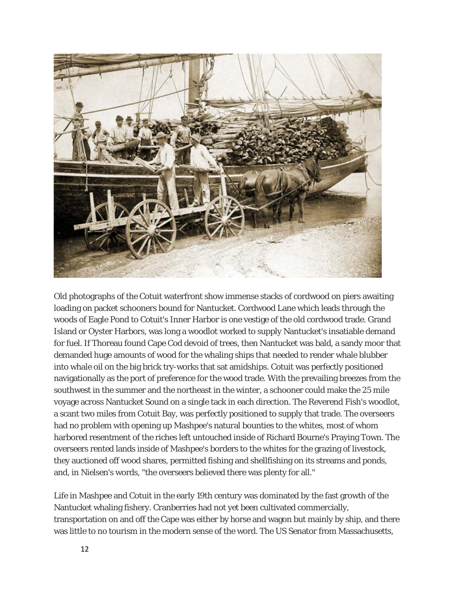

Old photographs of the Cotuit waterfront show immense stacks of cordwood on piers awaiting loading on packet schooners bound for Nantucket. Cordwood Lane which leads through the woods of Eagle Pond to Cotuit's Inner Harbor is one vestige of the old cordwood trade. Grand Island or Oyster Harbors, was long a woodlot worked to supply Nantucket's insatiable demand for fuel. If Thoreau found Cape Cod devoid of trees, then Nantucket was bald, a sandy moor that demanded huge amounts of wood for the whaling ships that needed to render whale blubber into whale oil on the big brick try-works that sat amidships. Cotuit was perfectly positioned navigationally as the port of preference for the wood trade. With the prevailing breezes from the southwest in the summer and the northeast in the winter, a schooner could make the 25 mile voyage across Nantucket Sound on a single tack in each direction. The Reverend Fish's woodlot, a scant two miles from Cotuit Bay, was perfectly positioned to supply that trade. The overseers had no problem with opening up Mashpee's natural bounties to the whites, most of whom harbored resentment of the riches left untouched inside of Richard Bourne's Praying Town. The overseers rented lands inside of Mashpee's borders to the whites for the grazing of livestock, they auctioned off wood shares, permitted fishing and shellfishing on its streams and ponds, and, in Nielsen's words, "the overseers believed there was plenty for all."

Life in Mashpee and Cotuit in the early 19th century was dominated by the fast growth of the Nantucket whaling fishery. Cranberries had not yet been cultivated commercially, transportation on and off the Cape was either by horse and wagon but mainly by ship, and there was little to no tourism in the modern sense of the word. The US Senator from Massachusetts,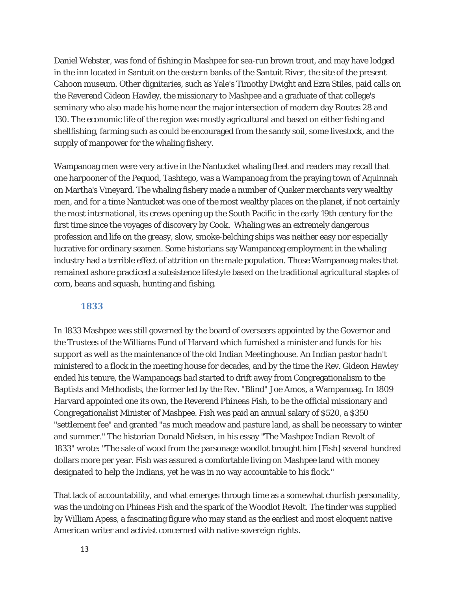Daniel Webster, was fond of fishing in Mashpee for sea-run brown trout, and may have lodged in the inn located in Santuit on the eastern banks of the Santuit River, the site of the present Cahoon museum. Other dignitaries, such as Yale's Timothy Dwight and Ezra Stiles, paid calls on the Reverend Gideon Hawley, the missionary to Mashpee and a graduate of that college's seminary who also made his home near the major intersection of modern day Routes 28 and 130. The economic life of the region was mostly agricultural and based on either fishing and shellfishing, farming such as could be encouraged from the sandy soil, some livestock, and the supply of manpower for the whaling fishery.

Wampanoag men were very active in the Nantucket whaling fleet and readers may recall that one harpooner of the *Pequod,* Tashtego, was a Wampanoag from the praying town of Aquinnah on Martha's Vineyard. The whaling fishery made a number of Quaker merchants very wealthy men, and for a time Nantucket was one of the most wealthy places on the planet, if not certainly the most international, its crews opening up the South Pacific in the early 19th century for the first time since the voyages of discovery by Cook. Whaling was an extremely dangerous profession and life on the greasy, slow, smoke-belching ships was neither easy nor especially lucrative for ordinary seamen. Some historians say Wampanoag employment in the whaling industry had a terrible effect of attrition on the male population. Those Wampanoag males that remained ashore practiced a subsistence lifestyle based on the traditional agricultural staples of corn, beans and squash, hunting and fishing.

#### **1833**

In 1833 Mashpee was still governed by the board of overseers appointed by the Governor and the Trustees of the Williams Fund of Harvard which furnished a minister and funds for his support as well as the maintenance of the old Indian Meetinghouse. An Indian pastor hadn't ministered to a flock in the meeting house for decades, and by the time the Rev. Gideon Hawley ended his tenure, the Wampanoags had started to drift away from Congregationalism to the Baptists and Methodists, the former led by the Rev. "Blind" Joe Amos, a Wampanoag. In 1809 Harvard appointed one its own, the Reverend Phineas Fish, to be the official missionary and Congregationalist Minister of Mashpee. Fish was paid an annual salary of \$520, a \$350 "settlement fee" and granted "as much meadow and pasture land, as shall be necessary to winter and summer." The historian Donald Nielsen, in his essay "*The Mashpee Indian Revolt of 1833"* wrote: "The sale of wood from the parsonage woodlot brought him [Fish] several hundred dollars more per year. Fish was assured a comfortable living on Mashpee land with money designated to help the Indians, yet he was in no way accountable to his flock."

That lack of accountability, and what emerges through time as a somewhat churlish personality, was the undoing on Phineas Fish and the spark of the Woodlot Revolt. The tinder was supplied by William Apess, a fascinating figure who may stand as the earliest and most eloquent native American writer and activist concerned with native sovereign rights.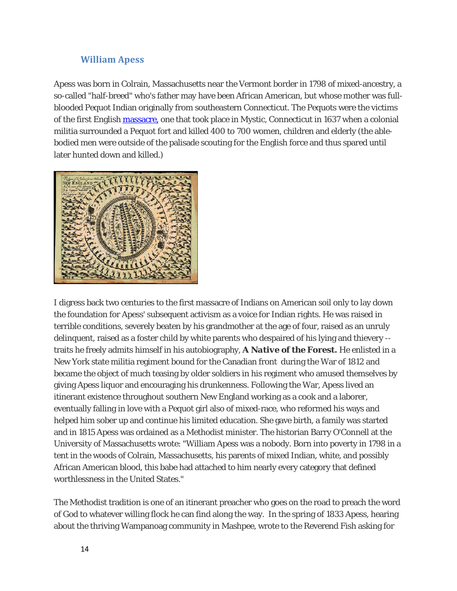## **William Apess**

Apess was born in Colrain, Massachusetts near the Vermont border in 1798 of mixed-ancestry, a so-called "half-breed" who's father may have been African American, but whose mother was fullblooded Pequot Indian originally from southeastern Connecticut. The Pequots were the victims of the first English [massacre,](http://en.wikipedia.org/wiki/Mystic_massacre) one that took place in Mystic, Connecticut in 1637 when a colonial militia surrounded a Pequot fort and killed 400 to 700 women, children and elderly (the ablebodied men were outside of the palisade scouting for the English force and thus spared until later hunted down and killed.)



I digress back two centuries to the first massacre of Indians on American soil only to lay down the foundation for Apess' subsequent activism as a voice for Indian rights. He was raised in terrible conditions, severely beaten by his grandmother at the age of four, raised as an unruly delinquent, raised as a foster child by white parents who despaired of his lying and thievery - traits he freely admits himself in his autobiography, *A Native of the Forest.* He enlisted in a New York state militia regiment bound for the Canadian front during the War of 1812 and became the object of much teasing by older soldiers in his regiment who amused themselves by giving Apess liquor and encouraging his drunkenness. Following the War, Apess lived an itinerant existence throughout southern New England working as a cook and a laborer, eventually falling in love with a Pequot girl also of mixed-race, who reformed his ways and helped him sober up and continue his limited education. She gave birth, a family was started and in 1815 Apess was ordained as a Methodist minister. The historian Barry O'Connell at the University of Massachusetts wrote: "William Apess was a nobody. Born into poverty in 1798 in a tent in the woods of Colrain, Massachusetts, his parents of mixed Indian, white, and possibly African American blood, this babe had attached to him nearly every category that defined worthlessness in the United States."

The Methodist tradition is one of an itinerant preacher who goes on the road to preach the word of God to whatever willing flock he can find along the way. In the spring of 1833 Apess, hearing about the thriving Wampanoag community in Mashpee, wrote to the Reverend Fish asking for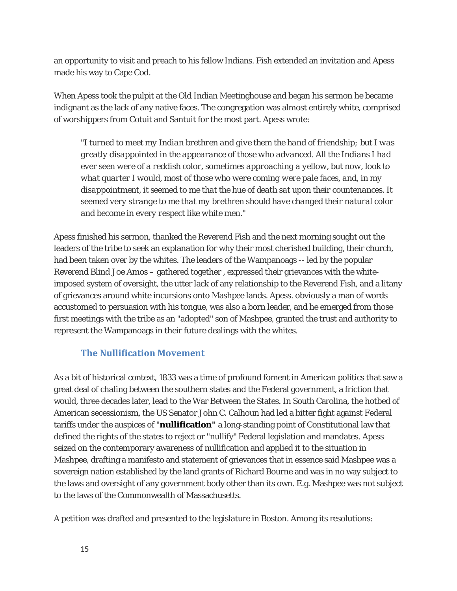an opportunity to visit and preach to his fellow Indians. Fish extended an invitation and Apess made his way to Cape Cod.

When Apess took the pulpit at the Old Indian Meetinghouse and began his sermon he became indignant as the lack of any native faces. The congregation was almost entirely white, comprised of worshippers from Cotuit and Santuit for the most part. Apess wrote:

"*I turned to meet my Indian brethren and give them the hand of friendship; but I was greatly disappointed in the appearance of those who advanced. All the Indians I had ever seen were of a reddish color, sometimes approaching a yellow, but now, look to what quarter I would, most of those who were coming were pale faces, and, in my disappointment, it seemed to me that the hue of death sat upon their countenances. It seemed very strange to me that my brethren should have changed their natural color and become in every respect like white men."*

Apess finished his sermon, thanked the Reverend Fish and the next morning sought out the leaders of the tribe to seek an explanation for why their most cherished building, their church, had been taken over by the whites. The leaders of the Wampanoags -- led by the popular Reverend Blind Joe Amos – gathered together , expressed their grievances with the whiteimposed system of oversight, the utter lack of any relationship to the Reverend Fish, and a litany of grievances around white incursions onto Mashpee lands. Apess. obviously a man of words accustomed to persuasion with his tongue, was also a born leader, and he emerged from those first meetings with the tribe as an "adopted" son of Mashpee, granted the trust and authority to represent the Wampanoags in their future dealings with the whites.

## **The Nullification Movement**

As a bit of historical context, 1833 was a time of profound foment in American politics that saw a great deal of chafing between the southern states and the Federal government, a friction that would, three decades later, lead to the War Between the States. In South Carolina, the hotbed of American secessionism, the US Senator John C. Calhoun had led a bitter fight against Federal tariffs under the auspices of "**nullification"** a long-standing point of Constitutional law that defined the rights of the states to reject or "nullify" Federal legislation and mandates. Apess seized on the contemporary awareness of nullification and applied it to the situation in Mashpee, drafting a manifesto and statement of grievances that in essence said Mashpee was a sovereign nation established by the land grants of Richard Bourne and was in no way subject to the laws and oversight of any government body other than its own. E.g. Mashpee was not subject to the laws of the Commonwealth of Massachusetts.

A petition was drafted and presented to the legislature in Boston. Among its resolutions: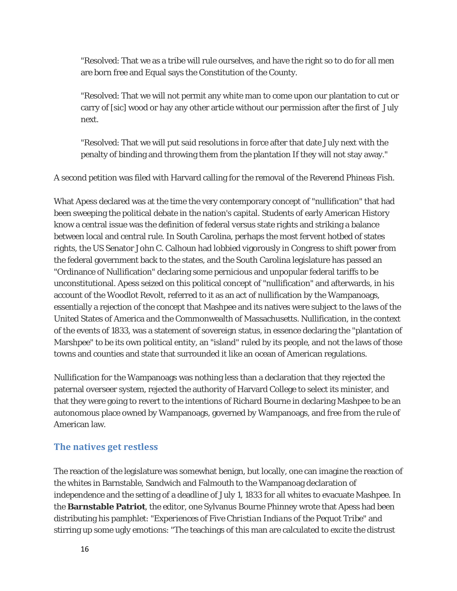"Resolved: That we as a tribe will rule ourselves, and have the right so to do for all men are born free and Equal says the Constitution of the County.

"Resolved: That we will not permit any white man to come upon our plantation to cut or carry of [sic] wood or hay any other article without our permission after the first of July next.

"Resolved: That we will put said resolutions in force after that date July next with the penalty of binding and throwing them from the plantation If they will not stay away."

A second petition was filed with Harvard calling for the removal of the Reverend Phineas Fish.

What Apess declared was at the time the very contemporary concept of "nullification" that had been sweeping the political debate in the nation's capital. Students of early American History know a central issue was the definition of federal versus state rights and striking a balance between local and central rule. In South Carolina, perhaps the most fervent hotbed of states rights, the US Senator John C. Calhoun had lobbied vigorously in Congress to shift power from the federal government back to the states, and the South Carolina legislature has passed an "Ordinance of Nullification" declaring some pernicious and unpopular federal tariffs to be unconstitutional. Apess seized on this political concept of "nullification" and afterwards, in his account of the Woodlot Revolt, referred to it as an act of nullification by the Wampanoags, essentially a rejection of the concept that Mashpee and its natives were subject to the laws of the United States of America and the Commonwealth of Massachusetts. Nullification, in the context of the events of 1833, was a statement of sovereign status, in essence declaring the "plantation of Marshpee" to be its own political entity, an "island" ruled by its people, and not the laws of those towns and counties and state that surrounded it like an ocean of American regulations.

Nullification for the Wampanoags was nothing less than a declaration that they rejected the paternal overseer system, rejected the authority of Harvard College to select its minister, and that they were going to revert to the intentions of Richard Bourne in declaring Mashpee to be an autonomous place owned by Wampanoags, governed by Wampanoags, and free from the rule of American law.

## **The natives get restless**

The reaction of the legislature was somewhat benign, but locally, one can imagine the reaction of the whites in Barnstable, Sandwich and Falmouth to the Wampanoag declaration of independence and the setting of a deadline of July 1, 1833 for all whites to evacuate Mashpee. In the **Barnstable Patriot**, the editor, one Sylvanus Bourne Phinney wrote that Apess had been distributing his pamphlet: "*Experiences of Five Christian Indians of the Pequot Tribe"* and stirring up some ugly emotions: "The teachings of this man are calculated to excite the distrust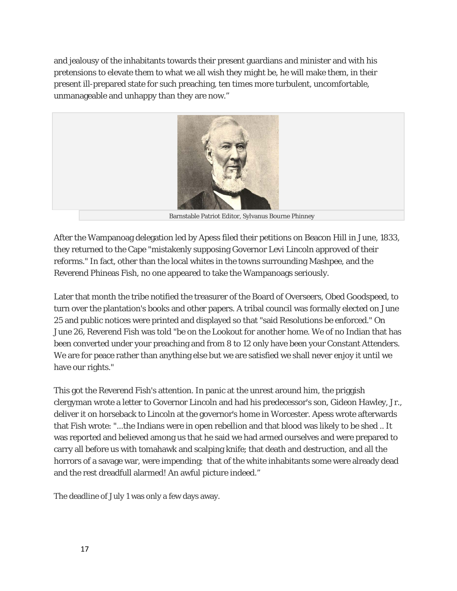and jealousy of the inhabitants towards their present guardians and minister and with his pretensions to elevate them to what we all wish they might be, he will make them, in their present ill-prepared state for such preaching, ten times more turbulent, uncomfortable, unmanageable and unhappy than they are now."



Barnstable Patriot Editor, Sylvanus Bourne Phinney

After the Wampanoag delegation led by Apess filed their petitions on Beacon Hill in June, 1833, they returned to the Cape "mistakenly supposing Governor Levi Lincoln approved of their reforms." In fact, other than the local whites in the towns surrounding Mashpee, and the Reverend Phineas Fish, no one appeared to take the Wampanoags seriously.

Later that month the tribe notified the treasurer of the Board of Overseers, Obed Goodspeed, to turn over the plantation's books and other papers. A tribal council was formally elected on June 25 and public notices were printed and displayed so that "said Resolutions be enforced." On June 26, Reverend Fish was told "be on the Lookout for another home. We of no Indian that has been converted under your preaching and from 8 to 12 only have been your Constant Attenders. We are for peace rather than anything else but we are satisfied we shall never enjoy it until we have our rights."

This got the Reverend Fish's attention. In panic at the unrest around him, the priggish clergyman wrote a letter to Governor Lincoln and had his predecessor's son, Gideon Hawley, Jr., deliver it on horseback to Lincoln at the governor's home in Worcester. Apess wrote afterwards that Fish wrote: "...the Indians were in open rebellion and that blood was likely to be shed .. It was reported and believed among us that he said we had armed ourselves and were prepared to carry all before us with tomahawk and scalping knife; that death and destruction, and all the horrors of a savage war, were impending; that of the white inhabitants some were already dead and the rest dreadfull alarmed! An awful picture indeed."

The deadline of July 1 was only a few days away.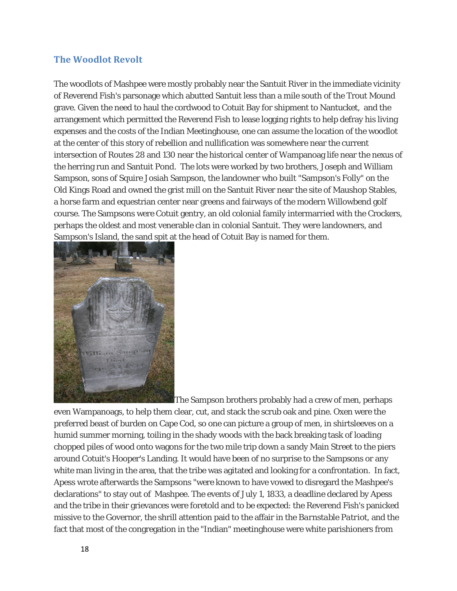## **The Woodlot Revolt**

The woodlots of Mashpee were mostly probably near the Santuit River in the immediate vicinity of Reverend Fish's parsonage which abutted Santuit less than a mile south of the Trout Mound grave. Given the need to haul the cordwood to Cotuit Bay for shipment to Nantucket, and the arrangement which permitted the Reverend Fish to lease logging rights to help defray his living expenses and the costs of the Indian Meetinghouse, one can assume the location of the woodlot at the center of this story of rebellion and nullification was somewhere near the current intersection of Routes 28 and 130 near the historical center of Wampanoag life near the nexus of the herring run and Santuit Pond. The lots were worked by two brothers, Joseph and William Sampson, sons of Squire Josiah Sampson, the landowner who built "Sampson's Folly" on the Old Kings Road and owned the grist mill on the Santuit River near the site of Maushop Stables, a horse farm and equestrian center near greens and fairways of the modern Willowbend golf course. The Sampsons were Cotuit gentry, an old colonial family intermarried with the Crockers, perhaps the oldest and most venerable clan in colonial Santuit. They were landowners, and [Sampson](http://www.churbuck.com/wordpress/wp-content/uploads/2014/01/williamsampson1.jpg)'[s Island, the sand spit at](http://www.churbuck.com/wordpress/wp-content/uploads/2014/01/williamsampson1.jpg) the head of Cotuit Bay is named for them.



The Sampson brothers probably had a crew of men, perhaps

even Wampanoags, to help them clear, cut, and stack the scrub oak and pine. Oxen were the preferred beast of burden on Cape Cod, so one can picture a group of men, in shirtsleeves on a humid summer morning, toiling in the shady woods with the back breaking task of loading chopped piles of wood onto wagons for the two mile trip down a sandy Main Street to the piers around Cotuit's Hooper's Landing. It would have been of no surprise to the Sampsons or any white man living in the area, that the tribe was agitated and looking for a confrontation. In fact, Apess wrote afterwards the Sampsons "were known to have vowed to disregard the Mashpee's declarations" to stay out of Mashpee. The events of July 1, 1833, a deadline declared by Apess and the tribe in their grievances were foretold and to be expected: the Reverend Fish's panicked missive to the Governor, the shrill attention paid to the affair in the *Barnstable Patriot,* and the fact that most of the congregation in the "Indian" meetinghouse were white parishioners from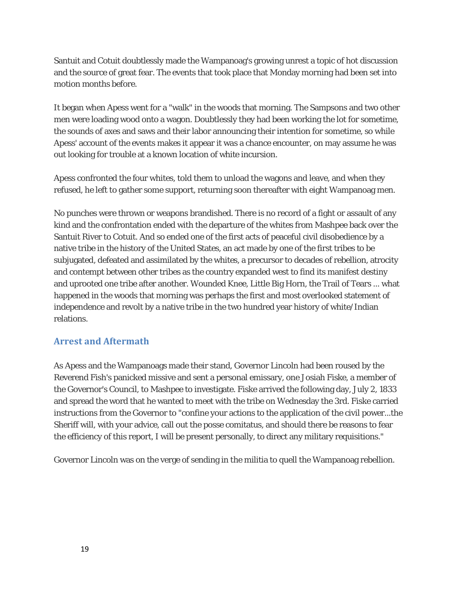Santuit and Cotuit doubtlessly made the Wampanoag's growing unrest a topic of hot discussion and the source of great fear. The events that took place that Monday morning had been set into motion months before.

It began when Apess went for a "walk" in the woods that morning. The Sampsons and two other men were loading wood onto a wagon. Doubtlessly they had been working the lot for sometime, the sounds of axes and saws and their labor announcing their intention for sometime, so while Apess' account of the events makes it appear it was a chance encounter, on may assume he was out looking for trouble at a known location of white incursion.

Apess confronted the four whites, told them to unload the wagons and leave, and when they refused, he left to gather some support, returning soon thereafter with eight Wampanoag men.

No punches were thrown or weapons brandished. There is no record of a fight or assault of any kind and the confrontation ended with the departure of the whites from Mashpee back over the Santuit River to Cotuit. And so ended one of the first acts of peaceful civil disobedience by a native tribe in the history of the United States, an act made by one of the first tribes to be subjugated, defeated and assimilated by the whites, a precursor to decades of rebellion, atrocity and contempt between other tribes as the country expanded west to find its manifest destiny and uprooted one tribe after another. Wounded Knee, Little Big Horn, the Trail of Tears ... what happened in the woods that morning was perhaps the first and most overlooked statement of independence and revolt by a native tribe in the two hundred year history of white/Indian relations.

## **Arrest and Aftermath**

As Apess and the Wampanoags made their stand, Governor Lincoln had been roused by the Reverend Fish's panicked missive and sent a personal emissary, one Josiah Fiske, a member of the Governor's Council, to Mashpee to investigate. Fiske arrived the following day, July 2, 1833 and spread the word that he wanted to meet with the tribe on Wednesday the 3rd. Fiske carried instructions from the Governor to "confine your actions to the application of the civil power...the Sheriff will, with your advice, call out the posse comitatus, and should there be reasons to fear the efficiency of this report, I will be present personally, to direct any military requisitions."

Governor Lincoln was on the verge of sending in the militia to quell the Wampanoag rebellion.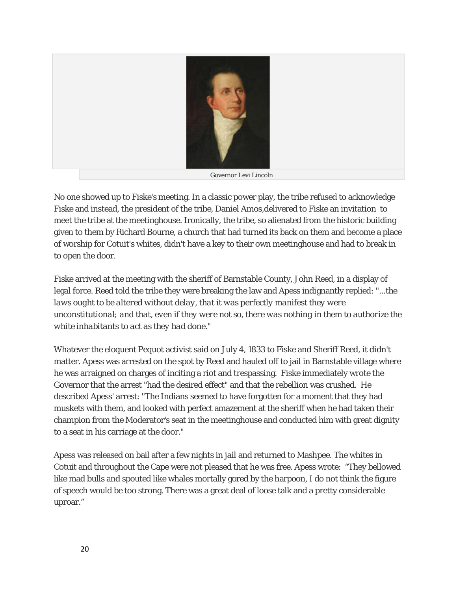

Governor Levi Lincoln

No one showed up to Fiske's meeting. In a classic power play, the tribe refused to acknowledge Fiske and instead, the president of the tribe, Daniel Amos,delivered to Fiske an invitation to meet the tribe at the meetinghouse. Ironically, the tribe, so alienated from the historic building given to them by Richard Bourne, a church that had turned its back on them and become a place of worship for Cotuit's whites, didn't have a key to their own meetinghouse and had to break in to open the door.

Fiske arrived at the meeting with the sheriff of Barnstable County, John Reed, in a display of legal force. Reed told the tribe they were breaking the law and Apess indignantly replied: *"...the laws ought to be altered without delay, that it was perfectly manifest they were unconstitutional; and that, even if they were not so, there was nothing in them to authorize the white inhabitants to act as they had done."*

Whatever the eloquent Pequot activist said on July 4, 1833 to Fiske and Sheriff Reed, it didn't matter. Apess was arrested on the spot by Reed and hauled off to jail in Barnstable village where he was arraigned on charges of inciting a riot and trespassing. Fiske immediately wrote the Governor that the arrest "had the desired effect" and that the rebellion was crushed. He described Apess' arrest: "The Indians seemed to have forgotten for a moment that they had muskets with them, and looked with perfect amazement at the sheriff when he had taken their champion from the Moderator's seat in the meetinghouse and conducted him with great dignity to a seat in his carriage at the door."

Apess was released on bail after a few nights in jail and returned to Mashpee. The whites in Cotuit and throughout the Cape were not pleased that he was free. Apess wrote: "They bellowed like mad bulls and spouted like whales mortally gored by the harpoon, I do not think the figure of speech would be too strong. There was a great deal of loose talk and a pretty considerable uproar."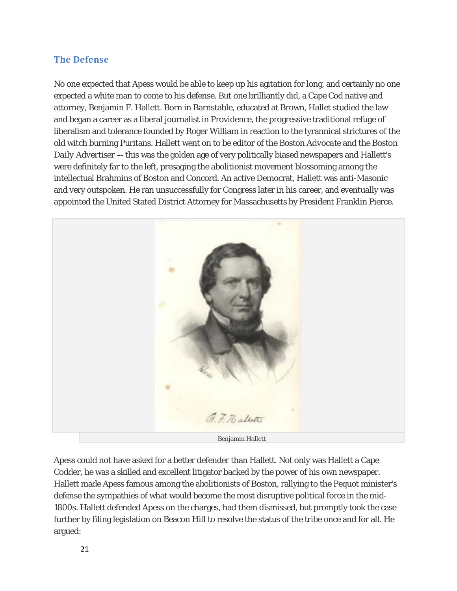## **The Defense**

No one expected that Apess would be able to keep up his agitation for long, and certainly no one expected a white man to come to his defense. But one brilliantly did, a Cape Cod native and attorney, Benjamin F. Hallett. Born in Barnstable, educated at Brown, Hallet studied the law and began a career as a liberal journalist in Providence, the progressive traditional refuge of liberalism and tolerance founded by Roger William in reaction to the tyrannical strictures of the old witch burning Puritans. Hallett went on to be editor of the *Boston Advocate* and the *Boston Daily Advertiser --* this was the golden age of very politically biased newspapers and Hallett's were definitely far to the left, presaging the abolitionist movement blossoming among the intellectual Brahmins of Boston and Concord. An active Democrat, Hallett was anti-Masonic and very outspoken. He ran unsuccessfully for Congress later in his career, and eventually was appointed the United Stated District Attorney for Massachusetts by President Franklin Pierce.



Benjamin Hallett

Apess could not have asked for a better defender than Hallett. Not only was Hallett a Cape Codder, he was a skilled and excellent litigator backed by the power of his own newspaper. Hallett made Apess famous among the abolitionists of Boston, rallying to the Pequot minister's defense the sympathies of what would become the most disruptive political force in the mid-1800s. Hallett defended Apess on the charges, had them dismissed, but promptly took the case further by filing legislation on Beacon Hill to resolve the status of the tribe once and for all. He argued: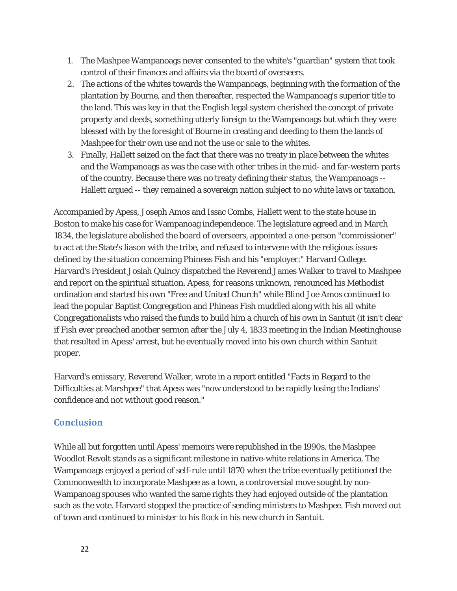- 1. The Mashpee Wampanoags never consented to the white's "guardian" system that took control of their finances and affairs via the board of overseers.
- 2. The actions of the whites towards the Wampanoags, beginning with the formation of the plantation by Bourne, and then thereafter, respected the Wampanoag's superior title to the land. This was key in that the English legal system cherished the concept of private property and deeds, something utterly foreign to the Wampanoags but which they were blessed with by the foresight of Bourne in creating and deeding to them the lands of Mashpee for their own use and not the use or sale to the whites.
- 3. Finally, Hallett seized on the fact that there was no treaty in place between the whites and the Wampanoags as was the case with other tribes in the mid- and far-western parts of the country. Because there was no treaty defining their status, the Wampanoags -- Hallett argued -- they remained a sovereign nation subject to no white laws or taxation.

Accompanied by Apess, Joseph Amos and Issac Combs, Hallett went to the state house in Boston to make his case for Wampanoag independence. The legislature agreed and in March 1834, the legislature abolished the board of overseers, appointed a one-person "commissioner" to act at the State's liason with the tribe, and refused to intervene with the religious issues defined by the situation concerning Phineas Fish and his "employer:" Harvard College. Harvard's President Josiah Quincy dispatched the Reverend James Walker to travel to Mashpee and report on the spiritual situation. Apess, for reasons unknown, renounced his Methodist ordination and started his own "Free and United Church" while Blind Joe Amos continued to lead the popular Baptist Congregation and Phineas Fish muddled along with his all white Congregationalists who raised the funds to build him a church of his own in Santuit (it isn't clear if Fish ever preached another sermon after the July 4, 1833 meeting in the Indian Meetinghouse that resulted in Apess' arrest, but he eventually moved into his own church within Santuit proper.

Harvard's emissary, Reverend Walker, wrote in a report entitled "Facts in Regard to the Difficulties at Marshpee" that Apess was "now understood to be rapidly losing the Indians' confidence and not without good reason."

## **Conclusion**

While all but forgotten until Apess' memoirs were republished in the 1990s, the Mashpee Woodlot Revolt stands as a significant milestone in native-white relations in America. The Wampanoags enjoyed a period of self-rule until 1870 when the tribe eventually petitioned the Commonwealth to incorporate Mashpee as a town, a controversial move sought by non-Wampanoag spouses who wanted the same rights they had enjoyed outside of the plantation such as the vote. Harvard stopped the practice of sending ministers to Mashpee. Fish moved out of town and continued to minister to his flock in his new church in Santuit.